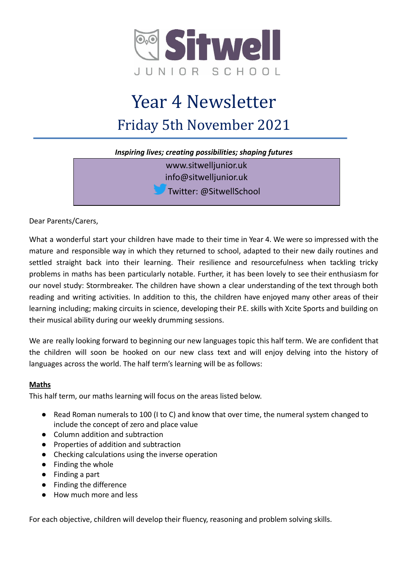

# Year 4 Newsletter Friday 5th November 2021

# *Inspiring lives; creating possibilities; shaping futures*

www.sitwelljunior.uk info@sitwelljunior.uk Twitter: @SitwellSchool

Dear Parents/Carers,

What a wonderful start your children have made to their time in Year 4. We were so impressed with the mature and responsible way in which they returned to school, adapted to their new daily routines and settled straight back into their learning. Their resilience and resourcefulness when tackling tricky problems in maths has been particularly notable. Further, it has been lovely to see their enthusiasm for our novel study: Stormbreaker. The children have shown a clear understanding of the text through both reading and writing activities. In addition to this, the children have enjoyed many other areas of their learning including; making circuits in science, developing their P.E. skills with Xcite Sports and building on their musical ability during our weekly drumming sessions.

We are really looking forward to beginning our new languages topic this half term. We are confident that the children will soon be hooked on our new class text and will enjoy delving into the history of languages across the world. The half term's learning will be as follows:

#### **Maths**

This half term, our maths learning will focus on the areas listed below.

- Read Roman numerals to 100 (I to C) and know that over time, the numeral system changed to include the concept of zero and place value
- Column addition and subtraction
- Properties of addition and subtraction
- Checking calculations using the inverse operation
- Finding the whole
- Finding a part
- Finding the difference
- How much more and less

For each objective, children will develop their fluency, reasoning and problem solving skills.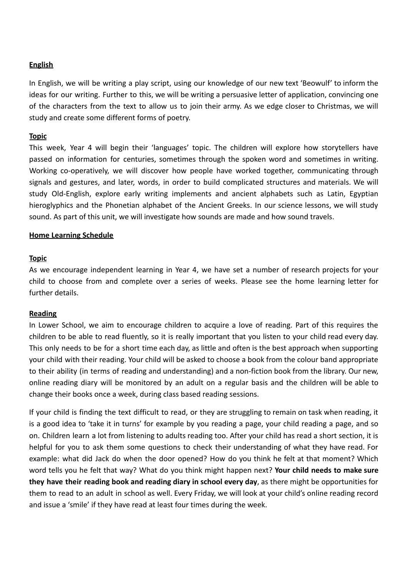#### **English**

In English, we will be writing a play script, using our knowledge of our new text 'Beowulf' to inform the ideas for our writing. Further to this, we will be writing a persuasive letter of application, convincing one of the characters from the text to allow us to join their army. As we edge closer to Christmas, we will study and create some different forms of poetry.

#### **Topic**

This week, Year 4 will begin their 'languages' topic. The children will explore how storytellers have passed on information for centuries, sometimes through the spoken word and sometimes in writing. Working co-operatively, we will discover how people have worked together, communicating through signals and gestures, and later, words, in order to build complicated structures and materials. We will study Old-English, explore early writing implements and ancient alphabets such as Latin, Egyptian hieroglyphics and the Phonetian alphabet of the Ancient Greeks. In our science lessons, we will study sound. As part of this unit, we will investigate how sounds are made and how sound travels.

#### **Home Learning Schedule**

#### **Topic**

As we encourage independent learning in Year 4, we have set a number of research projects for your child to choose from and complete over a series of weeks. Please see the home learning letter for further details.

#### **Reading**

In Lower School, we aim to encourage children to acquire a love of reading. Part of this requires the children to be able to read fluently, so it is really important that you listen to your child read every day. This only needs to be for a short time each day, as little and often is the best approach when supporting your child with their reading. Your child will be asked to choose a book from the colour band appropriate to their ability (in terms of reading and understanding) and a non-fiction book from the library. Our new, online reading diary will be monitored by an adult on a regular basis and the children will be able to change their books once a week, during class based reading sessions.

If your child is finding the text difficult to read, or they are struggling to remain on task when reading, it is a good idea to 'take it in turns' for example by you reading a page, your child reading a page, and so on. Children learn a lot from listening to adults reading too. After your child has read a short section, it is helpful for you to ask them some questions to check their understanding of what they have read. For example: what did Jack do when the door opened? How do you think he felt at that moment? Which word tells you he felt that way? What do you think might happen next? **Your child needs to make sure they have their reading book and reading diary in school every day**, as there might be opportunities for them to read to an adult in school as well. Every Friday, we will look at your child's online reading record and issue a 'smile' if they have read at least four times during the week.